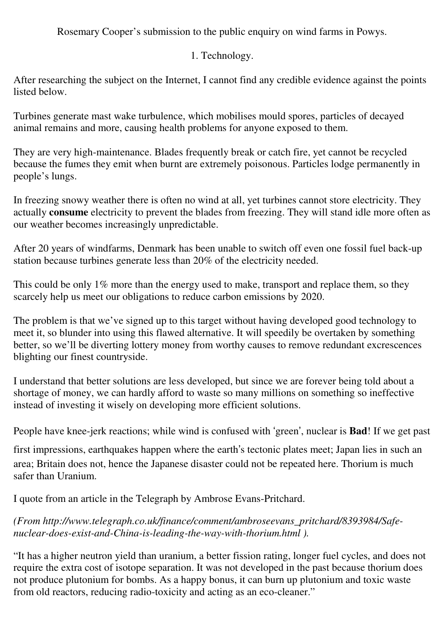Rosemary Cooper's submission to the public enquiry on wind farms in Powys.

1. Technology.

After researching the subject on the Internet, I cannot find any credible evidence against the points listed below.

Turbines generate mast wake turbulence, which mobilises mould spores, particles of decayed animal remains and more, causing health problems for anyone exposed to them.

They are very high-maintenance. Blades frequently break or catch fire, yet cannot be recycled because the fumes they emit when burnt are extremely poisonous. Particles lodge permanently in people's lungs.

In freezing snowy weather there is often no wind at all, yet turbines cannot store electricity. They actually **consume** electricity to prevent the blades from freezing. They will stand idle more often as our weather becomes increasingly unpredictable.

After 20 years of windfarms, Denmark has been unable to switch off even one fossil fuel back-up station because turbines generate less than 20% of the electricity needed.

This could be only 1% more than the energy used to make, transport and replace them, so they scarcely help us meet our obligations to reduce carbon emissions by 2020.

The problem is that we've signed up to this target without having developed good technology to meet it, so blunder into using this flawed alternative. It will speedily be overtaken by something better, so we'll be diverting lottery money from worthy causes to remove redundant excrescences blighting our finest countryside.

I understand that better solutions are less developed, but since we are forever being told about a shortage of money, we can hardly afford to waste so many millions on something so ineffective instead of investing it wisely on developing more efficient solutions.

People have knee-jerk reactions; while wind is confused with 'green', nuclear is **Bad**! If we get past

first impressions, earthquakes happen where the earth's tectonic plates meet; Japan lies in such an area; Britain does not, hence the Japanese disaster could not be repeated here. Thorium is much safer than Uranium.

I quote from an article in the Telegraph by Ambrose Evans-Pritchard.

## *(From http://www.telegraph.co.uk/finance/comment/ambroseevans\_pritchard/8393984/Safenuclear-does-exist-and-China-is-leading-the-way-with-thorium.html ).*

"It has a higher neutron yield than uranium, a better fission rating, longer fuel cycles, and does not require the extra cost of isotope separation. It was not developed in the past because thorium does not produce plutonium for bombs. As a happy bonus, it can burn up plutonium and toxic waste from old reactors, reducing radio-toxicity and acting as an eco-cleaner."